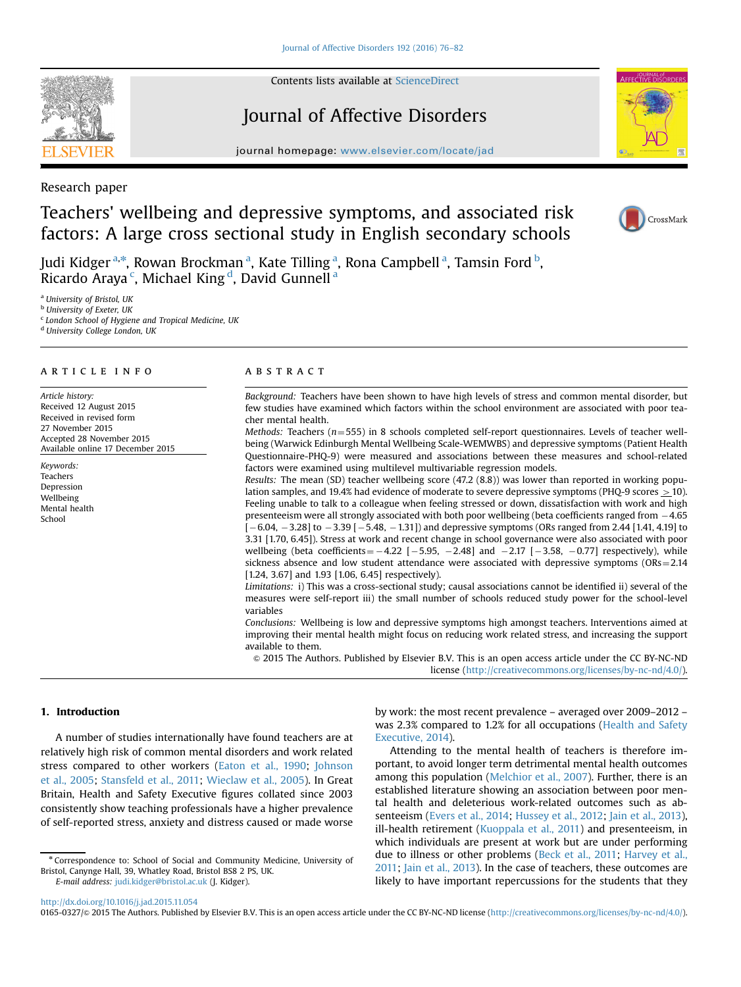Contents lists available at [ScienceDirect](www.sciencedirect.com/science/journal/01650327)

# Journal of Affective Disorders

journal homepage: <www.elsevier.com/locate/jad>

Research paper

# Teachers' wellbeing and depressive symptoms, and associated risk factors: A large cross sectional study in English secondary schools

Judi Kidger <sup>a,\*</sup>, Rowan Brockman <sup>a</sup>, Kate Tilling <sup>a</sup>, Rona Campbell <sup>a</sup>, Tamsin Ford <sup>b</sup>, Ricardo Araya <sup>c</sup>, Michael King <sup>d</sup>, David Gunnell <sup>a</sup>

<sup>a</sup> University of Bristol, UK

**b** University of Exeter, UK

<sup>c</sup> London School of Hygiene and Tropical Medicine, UK

<sup>d</sup> University College London, UK

## article info

Article history: Received 12 August 2015 Received in revised form 27 November 2015 Accepted 28 November 2015 Available online 17 December 2015

Keywords: Teachers Depression Wellbeing Mental health School

## **ABSTRACT**

Background: Teachers have been shown to have high levels of stress and common mental disorder, but few studies have examined which factors within the school environment are associated with poor teacher mental health.

Methods: Teachers ( $n=555$ ) in 8 schools completed self-report questionnaires. Levels of teacher wellbeing (Warwick Edinburgh Mental Wellbeing Scale-WEMWBS) and depressive symptoms (Patient Health Questionnaire-PHQ-9) were measured and associations between these measures and school-related factors were examined using multilevel multivariable regression models.

Results: The mean (SD) teacher wellbeing score (47.2 (8.8)) was lower than reported in working population samples, and 19.4% had evidence of moderate to severe depressive symptoms (PHQ-9 scores  $>$  10). Feeling unable to talk to a colleague when feeling stressed or down, dissatisfaction with work and high presenteeism were all strongly associated with both poor wellbeing (beta coefficients ranged from -4.65  $[-6.04, -3.28]$  to  $-3.39[-5.48, -1.31])$  and depressive symptoms (ORs ranged from 2.44 [1.41, 4.19] to 3.31 [1.70, 6.45]). Stress at work and recent change in school governance were also associated with poor wellbeing (beta coefficients =  $-4.22$  [ $-5.95$ ,  $-2.48$ ] and  $-2.17$  [ $-3.58$ ,  $-0.77$ ] respectively), while sickness absence and low student attendance were associated with depressive symptoms ( $ORs = 2.14$ [1.24, 3.67] and 1.93 [1.06, 6.45] respectively).

Limitations: i) This was a cross-sectional study; causal associations cannot be identified ii) several of the measures were self-report iii) the small number of schools reduced study power for the school-level variables

Conclusions: Wellbeing is low and depressive symptoms high amongst teachers. Interventions aimed at improving their mental health might focus on reducing work related stress, and increasing the support available to them.

& 2015 The Authors. Published by Elsevier B.V. This is an open access article under the CC BY-NC-ND license (http://creativecommons.org/licenses/by-nc-nd/4.0/).

## 1. Introduction

A number of studies internationally have found teachers are at relatively high risk of common mental disorders and work related stress compared to other workers ([Eaton et al., 1990](#page-6-0); [Johnson](#page-6-0) [et al., 2005;](#page-6-0) [Stansfeld et al., 2011](#page-6-0); [Wieclaw et al., 2005\)](#page-6-0). In Great Britain, Health and Safety Executive figures collated since 2003 consistently show teaching professionals have a higher prevalence of self-reported stress, anxiety and distress caused or made worse

by work: the most recent prevalence – averaged over 2009–2012 – was 2.3% compared to 1.2% for all occupations ([Health and Safety](#page-6-0) [Executive, 2014\)](#page-6-0).

Attending to the mental health of teachers is therefore important, to avoid longer term detrimental mental health outcomes among this population ([Melchior et al., 2007](#page-6-0)). Further, there is an established literature showing an association between poor mental health and deleterious work-related outcomes such as ab-senteeism [\(Evers et al., 2014](#page-6-0); [Hussey et al., 2012;](#page-6-0) [Jain et al., 2013\)](#page-6-0), ill-health retirement [\(Kuoppala et al., 2011](#page-6-0)) and presenteeism, in which individuals are present at work but are under performing due to illness or other problems [\(Beck et al., 2011;](#page-6-0) [Harvey et al.,](#page-6-0) [2011;](#page-6-0) [Jain et al., 2013](#page-6-0)). In the case of teachers, these outcomes are likely to have important repercussions for the students that they

<http://dx.doi.org/10.1016/j.jad.2015.11.054>

0165-0327/@ 2015 The Authors. Published by Elsevier B.V. This is an open access article under the CC BY-NC-ND license (http://creativecommons.org/licenses/by-nc-nd/4.0/).







<sup>n</sup> Correspondence to: School of Social and Community Medicine, University of Bristol, Canynge Hall, 39, Whatley Road, Bristol BS8 2 PS, UK. E-mail address: [judi.kidger@bristol.ac.uk](mailto:judi.kidger@bristol.ac.uk) (J. Kidger).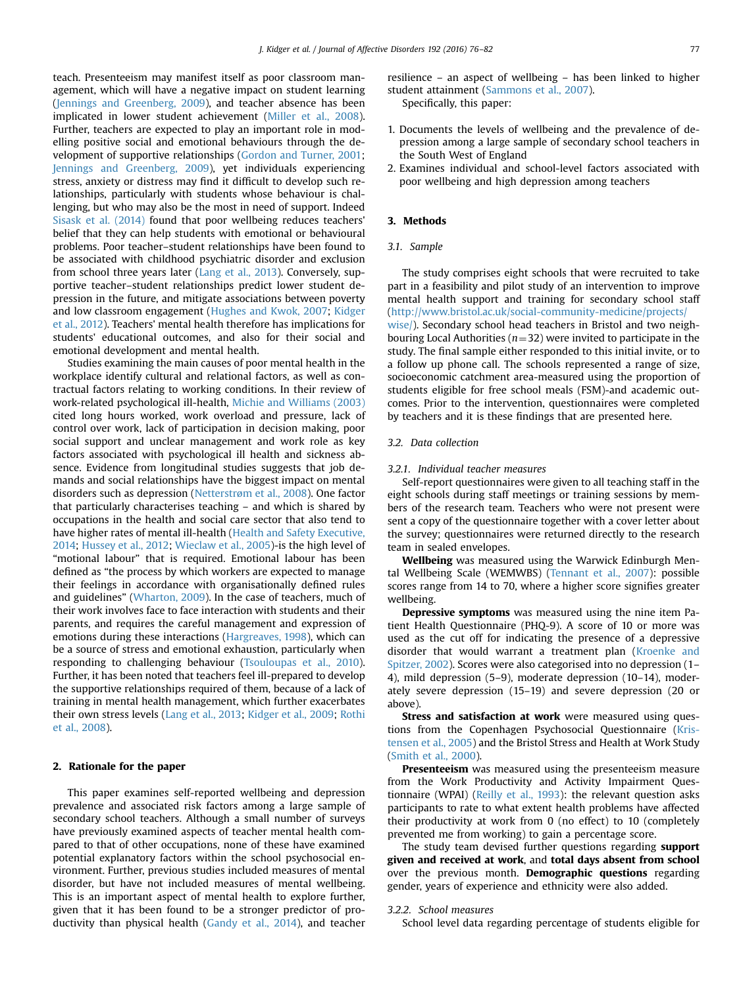teach. Presenteeism may manifest itself as poor classroom management, which will have a negative impact on student learning ([Jennings and Greenberg, 2009\)](#page-6-0), and teacher absence has been implicated in lower student achievement [\(Miller et al., 2008\)](#page-6-0). Further, teachers are expected to play an important role in modelling positive social and emotional behaviours through the development of supportive relationships [\(Gordon and Turner, 2001;](#page-6-0) [Jennings and Greenberg, 2009](#page-6-0)), yet individuals experiencing stress, anxiety or distress may find it difficult to develop such relationships, particularly with students whose behaviour is challenging, but who may also be the most in need of support. Indeed [Sisask et al. \(2014\)](#page-6-0) found that poor wellbeing reduces teachers' belief that they can help students with emotional or behavioural problems. Poor teacher–student relationships have been found to be associated with childhood psychiatric disorder and exclusion from school three years later [\(Lang et al., 2013\)](#page-6-0). Conversely, supportive teacher–student relationships predict lower student depression in the future, and mitigate associations between poverty and low classroom engagement [\(Hughes and Kwok, 2007](#page-6-0); [Kidger](#page-6-0) [et al., 2012](#page-6-0)). Teachers' mental health therefore has implications for students' educational outcomes, and also for their social and emotional development and mental health.

Studies examining the main causes of poor mental health in the workplace identify cultural and relational factors, as well as contractual factors relating to working conditions. In their review of work-related psychological ill-health, [Michie and Williams \(2003\)](#page-6-0) cited long hours worked, work overload and pressure, lack of control over work, lack of participation in decision making, poor social support and unclear management and work role as key factors associated with psychological ill health and sickness absence. Evidence from longitudinal studies suggests that job demands and social relationships have the biggest impact on mental disorders such as depression ([Netterstrøm et al., 2008\)](#page-6-0). One factor that particularly characterises teaching – and which is shared by occupations in the health and social care sector that also tend to have higher rates of mental ill-health ([Health and Safety Executive,](#page-6-0) [2014;](#page-6-0) [Hussey et al., 2012;](#page-6-0) [Wieclaw et al., 2005\)](#page-6-0)-is the high level of "motional labour" that is required. Emotional labour has been defined as "the process by which workers are expected to manage their feelings in accordance with organisationally defined rules and guidelines" [\(Wharton, 2009\)](#page-6-0). In the case of teachers, much of their work involves face to face interaction with students and their parents, and requires the careful management and expression of emotions during these interactions ([Hargreaves, 1998\)](#page-6-0), which can be a source of stress and emotional exhaustion, particularly when responding to challenging behaviour [\(Tsouloupas et al., 2010\)](#page-6-0). Further, it has been noted that teachers feel ill-prepared to develop the supportive relationships required of them, because of a lack of training in mental health management, which further exacerbates their own stress levels [\(Lang et al., 2013](#page-6-0); [Kidger et al., 2009](#page-6-0); [Rothi](#page-6-0) [et al., 2008](#page-6-0)).

## 2. Rationale for the paper

This paper examines self-reported wellbeing and depression prevalence and associated risk factors among a large sample of secondary school teachers. Although a small number of surveys have previously examined aspects of teacher mental health compared to that of other occupations, none of these have examined potential explanatory factors within the school psychosocial environment. Further, previous studies included measures of mental disorder, but have not included measures of mental wellbeing. This is an important aspect of mental health to explore further, given that it has been found to be a stronger predictor of productivity than physical health ([Gandy et al., 2014\)](#page-6-0), and teacher

resilience – an aspect of wellbeing – has been linked to higher student attainment ([Sammons et al., 2007](#page-6-0)). Specifically, this paper:

- 1. Documents the levels of wellbeing and the prevalence of depression among a large sample of secondary school teachers in the South West of England
- 2. Examines individual and school-level factors associated with poor wellbeing and high depression among teachers

## 3. Methods

#### 3.1. Sample

The study comprises eight schools that were recruited to take part in a feasibility and pilot study of an intervention to improve mental health support and training for secondary school staff ([http://www.bristol.ac.uk/social-community-medicine/projects/](http://www.bristol.ac.uk/social-community-medicine/projects/wise/)

[wise/\)](http://www.bristol.ac.uk/social-community-medicine/projects/wise/). Secondary school head teachers in Bristol and two neighbouring Local Authorities ( $n=32$ ) were invited to participate in the study. The final sample either responded to this initial invite, or to a follow up phone call. The schools represented a range of size, socioeconomic catchment area-measured using the proportion of students eligible for free school meals (FSM)-and academic outcomes. Prior to the intervention, questionnaires were completed by teachers and it is these findings that are presented here.

### 3.2. Data collection

#### 3.2.1. Individual teacher measures

Self-report questionnaires were given to all teaching staff in the eight schools during staff meetings or training sessions by members of the research team. Teachers who were not present were sent a copy of the questionnaire together with a cover letter about the survey; questionnaires were returned directly to the research team in sealed envelopes.

Wellbeing was measured using the Warwick Edinburgh Mental Wellbeing Scale (WEMWBS) ([Tennant et al., 2007](#page-6-0)): possible scores range from 14 to 70, where a higher score signifies greater wellbeing.

Depressive symptoms was measured using the nine item Patient Health Questionnaire (PHQ-9). A score of 10 or more was used as the cut off for indicating the presence of a depressive disorder that would warrant a treatment plan ([Kroenke and](#page-6-0) [Spitzer, 2002\)](#page-6-0). Scores were also categorised into no depression (1– 4), mild depression (5–9), moderate depression (10–14), moderately severe depression (15–19) and severe depression (20 or above).

Stress and satisfaction at work were measured using questions from the Copenhagen Psychosocial Questionnaire [\(Kris](#page-6-0)[tensen et al., 2005\)](#page-6-0) and the Bristol Stress and Health at Work Study ([Smith et al., 2000\)](#page-6-0).

Presenteeism was measured using the presenteeism measure from the Work Productivity and Activity Impairment Questionnaire (WPAI) ([Reilly et al., 1993](#page-6-0)): the relevant question asks participants to rate to what extent health problems have affected their productivity at work from 0 (no effect) to 10 (completely prevented me from working) to gain a percentage score.

The study team devised further questions regarding support given and received at work, and total days absent from school over the previous month. Demographic questions regarding gender, years of experience and ethnicity were also added.

#### 3.2.2. School measures

School level data regarding percentage of students eligible for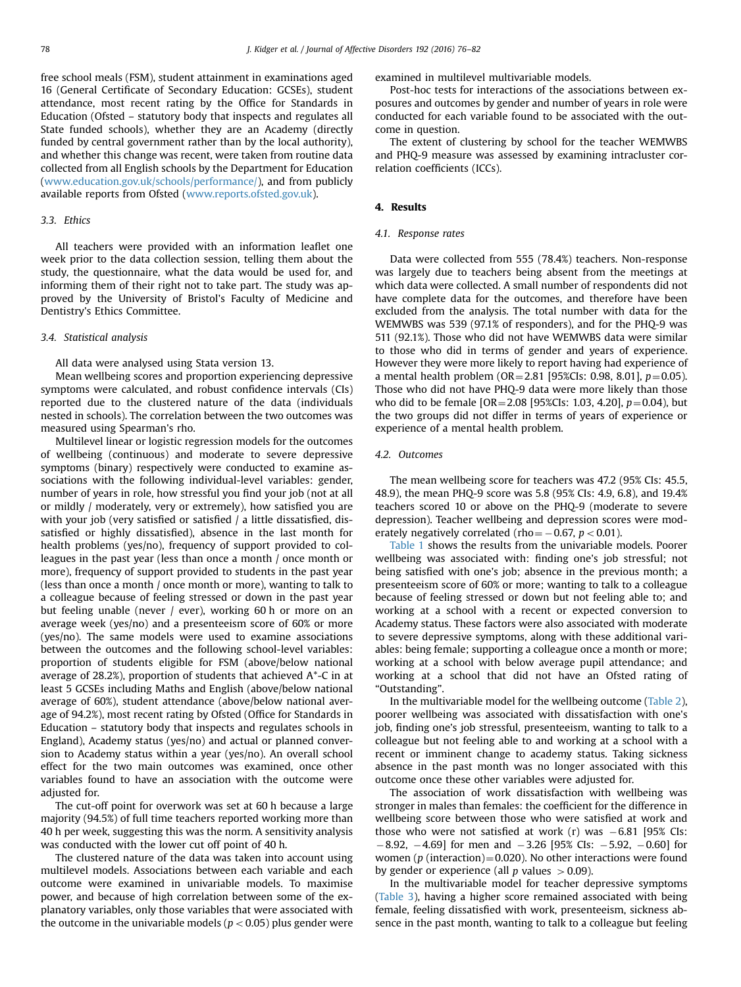free school meals (FSM), student attainment in examinations aged 16 (General Certificate of Secondary Education: GCSEs), student attendance, most recent rating by the Office for Standards in Education (Ofsted – statutory body that inspects and regulates all State funded schools), whether they are an Academy (directly funded by central government rather than by the local authority), and whether this change was recent, were taken from routine data collected from all English schools by the Department for Education ([www.education.gov.uk/schools/performance/](http://www.education.gov.uk/schools/performance/)), and from publicly available reports from Ofsted ([www.reports.ofsted.gov.uk](http://www.reports.ofsted.gov.uk)).

#### 3.3. Ethics

All teachers were provided with an information leaflet one week prior to the data collection session, telling them about the study, the questionnaire, what the data would be used for, and informing them of their right not to take part. The study was approved by the University of Bristol's Faculty of Medicine and Dentistry's Ethics Committee.

#### 3.4. Statistical analysis

All data were analysed using Stata version 13.

Mean wellbeing scores and proportion experiencing depressive symptoms were calculated, and robust confidence intervals (CIs) reported due to the clustered nature of the data (individuals nested in schools). The correlation between the two outcomes was measured using Spearman's rho.

Multilevel linear or logistic regression models for the outcomes of wellbeing (continuous) and moderate to severe depressive symptoms (binary) respectively were conducted to examine associations with the following individual-level variables: gender, number of years in role, how stressful you find your job (not at all or mildly / moderately, very or extremely), how satisfied you are with your job (very satisfied or satisfied / a little dissatisfied, dissatisfied or highly dissatisfied), absence in the last month for health problems (yes/no), frequency of support provided to colleagues in the past year (less than once a month / once month or more), frequency of support provided to students in the past year (less than once a month / once month or more), wanting to talk to a colleague because of feeling stressed or down in the past year but feeling unable (never / ever), working 60 h or more on an average week (yes/no) and a presenteeism score of 60% or more (yes/no). The same models were used to examine associations between the outcomes and the following school-level variables: proportion of students eligible for FSM (above/below national average of 28.2%), proportion of students that achieved A\*-C in at least 5 GCSEs including Maths and English (above/below national average of 60%), student attendance (above/below national average of 94.2%), most recent rating by Ofsted (Office for Standards in Education – statutory body that inspects and regulates schools in England), Academy status (yes/no) and actual or planned conversion to Academy status within a year (yes/no). An overall school effect for the two main outcomes was examined, once other variables found to have an association with the outcome were adjusted for.

The cut-off point for overwork was set at 60 h because a large majority (94.5%) of full time teachers reported working more than 40 h per week, suggesting this was the norm. A sensitivity analysis was conducted with the lower cut off point of 40 h.

The clustered nature of the data was taken into account using multilevel models. Associations between each variable and each outcome were examined in univariable models. To maximise power, and because of high correlation between some of the explanatory variables, only those variables that were associated with the outcome in the univariable models ( $p < 0.05$ ) plus gender were examined in multilevel multivariable models.

Post-hoc tests for interactions of the associations between exposures and outcomes by gender and number of years in role were conducted for each variable found to be associated with the outcome in question.

The extent of clustering by school for the teacher WEMWBS and PHQ-9 measure was assessed by examining intracluster correlation coefficients (ICCs).

#### 4. Results

#### 4.1. Response rates

Data were collected from 555 (78.4%) teachers. Non-response was largely due to teachers being absent from the meetings at which data were collected. A small number of respondents did not have complete data for the outcomes, and therefore have been excluded from the analysis. The total number with data for the WEMWBS was 539 (97.1% of responders), and for the PHQ-9 was 511 (92.1%). Those who did not have WEMWBS data were similar to those who did in terms of gender and years of experience. However they were more likely to report having had experience of a mental health problem (OR = 2.81 [95%CIs: 0.98, 8.01],  $p=0.05$ ). Those who did not have PHQ-9 data were more likely than those who did to be female [OR=2.08 [95%CIs: 1.03, 4.20],  $p=0.04$ ), but the two groups did not differ in terms of years of experience or experience of a mental health problem.

## 4.2. Outcomes

The mean wellbeing score for teachers was 47.2 (95% CIs: 45.5, 48.9), the mean PHQ-9 score was 5.8 (95% CIs: 4.9, 6.8), and 19.4% teachers scored 10 or above on the PHQ-9 (moderate to severe depression). Teacher wellbeing and depression scores were moderately negatively correlated (rho=  $-0.67$ ,  $p < 0.01$ ).

[Table 1](#page-3-0) shows the results from the univariable models. Poorer wellbeing was associated with: finding one's job stressful; not being satisfied with one's job; absence in the previous month; a presenteeism score of 60% or more; wanting to talk to a colleague because of feeling stressed or down but not feeling able to; and working at a school with a recent or expected conversion to Academy status. These factors were also associated with moderate to severe depressive symptoms, along with these additional variables: being female; supporting a colleague once a month or more; working at a school with below average pupil attendance; and working at a school that did not have an Ofsted rating of "Outstanding".

In the multivariable model for the wellbeing outcome [\(Table 2\)](#page-4-0), poorer wellbeing was associated with dissatisfaction with one's job, finding one's job stressful, presenteeism, wanting to talk to a colleague but not feeling able to and working at a school with a recent or imminent change to academy status. Taking sickness absence in the past month was no longer associated with this outcome once these other variables were adjusted for.

The association of work dissatisfaction with wellbeing was stronger in males than females: the coefficient for the difference in wellbeing score between those who were satisfied at work and those who were not satisfied at work  $(r)$  was  $-6.81$  [95% CIs:  $-8.92, -4.69$ ] for men and  $-3.26$  [95% Cls:  $-5.92, -0.60$ ] for women ( $p$  (interaction)=0.020). No other interactions were found by gender or experience (all p values  $> 0.09$ ).

In the multivariable model for teacher depressive symptoms ([Table 3\)](#page-4-0), having a higher score remained associated with being female, feeling dissatisfied with work, presenteeism, sickness absence in the past month, wanting to talk to a colleague but feeling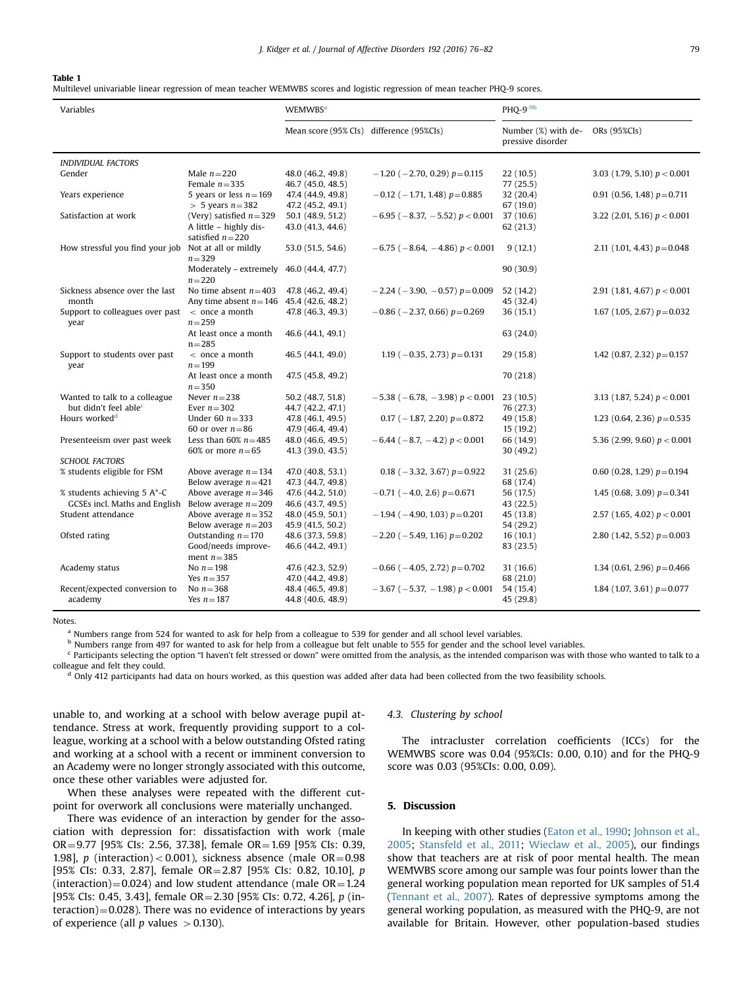#### <span id="page-3-0"></span>Table 1

Multilevel univariable linear regression of mean teacher WEMWBS scores and logistic regression of mean teacher PHQ-9 scores.

| Variables                         |                                            | <b>WEMWBS</b> <sup>a</sup>                |                                           | $PHQ-9^{-9b}$                            |                                 |
|-----------------------------------|--------------------------------------------|-------------------------------------------|-------------------------------------------|------------------------------------------|---------------------------------|
|                                   |                                            | Mean score (95% CIs) difference (95% CIs) |                                           | Number (%) with de-<br>pressive disorder | ORs (95%CIs)                    |
| <b>INDIVIDUAL FACTORS</b>         |                                            |                                           |                                           |                                          |                                 |
| Gender                            | Male $n=220$                               | 48.0 (46.2, 49.8)                         | $-1.20$ ( $-2.70$ , 0.29) $p=0.115$       | 22 (10.5)                                | 3.03 (1.79, 5.10) $p < 0.001$   |
|                                   | Female $n = 335$                           | 46.7 (45.0, 48.5)                         |                                           | 77 (25.5)                                |                                 |
| Years experience                  | 5 years or less $n = 169$                  | 47.4 (44.9, 49.8)                         | $-0.12$ (-1.71, 1.48) $p=0.885$           | 32 (20.4)                                | 0.91 (0.56, 1.48) $p=0.711$     |
|                                   | $> 5$ years $n=382$                        | 47.2 (45.2, 49.1)                         |                                           | 67 (19.0)                                |                                 |
| Satisfaction at work              | (Very) satisfied $n=329$                   | 50.1 (48.9, 51.2)                         | $-6.95$ ( $-8.37$ , $-5.52$ ) $p < 0.001$ | 37(10.6)                                 | 3.22 (2.01, 5.16) $p < 0.001$   |
|                                   | A little - highly dis-                     | 43.0 (41.3, 44.6)                         |                                           | 62(21.3)                                 |                                 |
|                                   | satisfied $n=220$                          |                                           |                                           |                                          |                                 |
| How stressful you find your job   | Not at all or mildly                       | 53.0 (51.5, 54.6)                         | $-6.75$ ( $-8.64$ , $-4.86$ ) $p < 0.001$ | 9(12.1)                                  | 2.11 (1.01, 4.43) $p = 0.048$   |
|                                   | $n = 329$                                  |                                           |                                           |                                          |                                 |
|                                   | Moderately - extremely $46.0$ (44.4, 47.7) |                                           |                                           | 90(30.9)                                 |                                 |
|                                   | $n = 220$                                  |                                           |                                           |                                          |                                 |
| Sickness absence over the last    | No time absent $n = 403$                   | 47.8 (46.2, 49.4)                         | $-2.24$ ( $-3.90$ , $-0.57$ ) $p=0.009$   | 52 (14.2)                                | 2.91 (1.81, 4.67) $p < 0.001$   |
| month                             | Any time absent $n = 146$                  | 45.4 (42.6, 48.2)                         |                                           | 45 (32.4)                                |                                 |
| Support to colleagues over past   | $<$ once a month<br>$n = 259$              | 47.8 (46.3, 49.3)                         | $-0.86$ ( $-2.37$ , 0.66) $p=0.269$       | 36(15.1)                                 | 1.67 (1.05, 2.67) $p=0.032$     |
| year                              | At least once a month                      |                                           |                                           |                                          |                                 |
|                                   | $n = 285$                                  | 46.6 (44.1, 49.1)                         |                                           | 63 (24.0)                                |                                 |
| Support to students over past     | $<$ once a month                           | 46.5 (44.1, 49.0)                         | 1.19 ( $-0.35$ , 2.73) $p=0.131$          | 29 (15.8)                                | 1.42 (0.87, 2.32) $p=0.157$     |
| year                              | $n = 199$                                  |                                           |                                           |                                          |                                 |
|                                   | At least once a month                      | 47.5 (45.8, 49.2)                         |                                           | 70 (21.8)                                |                                 |
|                                   | $n = 350$                                  |                                           |                                           |                                          |                                 |
| Wanted to talk to a colleague     | Never $n=238$                              | 50.2 (48.7, 51.8)                         | $-5.38$ ( $-6.78$ , $-3.98$ ) $p < 0.001$ | 23(10.5)                                 | 3.13 (1.87, 5.24) $p < 0.001$   |
| but didn't feel able <sup>c</sup> | Ever $n = 302$                             | 44.7 (42.2, 47.1)                         |                                           | 76 (27.3)                                |                                 |
| Hours worked <sup>d</sup>         | Under 60 $n = 333$                         | 47.8 (46.1, 49.5)                         | 0.17 ( $-1.87$ , 2.20) $p=0.872$          | 49 (15.8)                                | 1.23 (0.64, 2.36) $p=0.535$     |
|                                   | 60 or over $n=86$                          | 47.9 (46.4, 49.4)                         |                                           | 15(19.2)                                 |                                 |
| Presenteeism over past week       | Less than 60% $n=485$                      | 48.0 (46.6, 49.5)                         | $-6.44$ ( $-8.7$ , $-4.2$ ) $p < 0.001$   | 66 (14.9)                                | 5.36 (2.99, 9.60) $p < 0.001$   |
|                                   | 60% or more $n=65$                         | 41.3 (39.0, 43.5)                         |                                           | 30 (49.2)                                |                                 |
| <b>SCHOOL FACTORS</b>             |                                            |                                           |                                           |                                          |                                 |
| % students eligible for FSM       | Above average $n = 134$                    | 47.0 (40.8, 53.1)                         | 0.18 ( $-3.32$ , 3.67) $p=0.922$          | 31(25.6)                                 | $0.60$ (0.28, 1.29) $p = 0.194$ |
|                                   | Below average $n = 421$                    | 47.3 (44.7, 49.8)                         |                                           | 68 (17.4)                                |                                 |
| % students achieving 5 A*-C       | Above average $n = 346$                    | 47.6 (44.2, 51.0)                         | $-0.71$ ( $-4.0$ , 2.6) $p=0.671$         | 56 (17.5)                                | 1.45 (0.68, 3.09) $p = 0.341$   |
| GCSEs incl. Maths and English     | Below average $n = 209$                    | 46.6 (43.7, 49.5)                         |                                           | 43 (22.5)                                |                                 |
| Student attendance                | Above average $n = 352$                    | 48.0 (45.9, 50.1)                         | $-1.94$ ( $-4.90$ , 1.03) $p=0.201$       | 45 (13.8)                                | 2.57 (1.65, 4.02) $p < 0.001$   |
|                                   | Below average $n = 203$                    | 45.9 (41.5, 50.2)                         |                                           | 54 (29.2)                                |                                 |
| Ofsted rating                     | Outstanding $n = 170$                      | 48.6 (37.3, 59.8)                         | $-2.20$ ( $-5.49$ , 1.16) $p=0.202$       | 16(10.1)                                 | 2.80 (1.42, 5.52) $p=0.003$     |
|                                   | Good/needs improve-                        | 46.6 (44.2, 49.1)                         |                                           | 83 (23.5)                                |                                 |
|                                   | ment $n = 385$                             |                                           |                                           |                                          |                                 |
| Academy status                    | No $n=198$                                 | 47.6 (42.3, 52.9)                         | $-0.66$ ( $-4.05$ , 2.72) $p=0.702$       | 31 (16.6)                                | 1.34 (0.61, 2.96) $p=0.466$     |
|                                   | Yes $n = 357$                              | 47.0 (44.2, 49.8)                         |                                           | 68 (21.0)                                |                                 |
| Recent/expected conversion to     | No $n=368$<br>Yes $n = 187$                | 48.4 (46.5, 49.8)                         | $-3.67$ ( $-5.37$ , $-1.98$ ) $p < 0.001$ | 54 (15.4)                                | 1.84 (1.07, 3.61) $p=0.077$     |
| academy                           |                                            | 44.8 (40.6, 48.9)                         |                                           | 45 (29.8)                                |                                 |

Notes.

<sup>a</sup> Numbers range from 524 for wanted to ask for help from a colleague to 539 for gender and all school level variables.

b Numbers range from 497 for wanted to ask for help from a colleague but felt unable to 555 for gender and the school level variables.

 $c$  Participants selecting the option "I haven't felt stressed or down" were omitted from the analysis, as the intended comparison was with those who wanted to talk to a

colleague and felt they could.<br><sup>d</sup> Only 412 participants had data on hours worked, as this question was added after data had been collected from the two feasibility schools.

unable to, and working at a school with below average pupil attendance. Stress at work, frequently providing support to a colleague, working at a school with a below outstanding Ofsted rating and working at a school with a recent or imminent conversion to an Academy were no longer strongly associated with this outcome, once these other variables were adjusted for.

When these analyses were repeated with the different cutpoint for overwork all conclusions were materially unchanged.

There was evidence of an interaction by gender for the association with depression for: dissatisfaction with work (male OR=9.77 [95% CIs: 2.56, 37.38], female OR=1.69 [95% CIs: 0.39, 1.98], p (interaction) < 0.001), sickness absence (male  $OR = 0.98$ [95% CIs: 0.33, 2.87], female  $OR = 2.87$  [95% CIs: 0.82, 10.10], p (interaction)=0.024) and low student attendance (male  $OR = 1.24$ ) [95% CIs: 0.45, 3.43], female OR = 2.30 [95% CIs: 0.72, 4.26], p (in $t$ eraction) $=0.028$ ). There was no evidence of interactions by years of experience (all  $p$  values  $> 0.130$ ).

#### 4.3. Clustering by school

The intracluster correlation coefficients (ICCs) for the WEMWBS score was 0.04 (95%CIs: 0.00, 0.10) and for the PHQ-9 score was 0.03 (95%CIs: 0.00, 0.09).

## 5. Discussion

In keeping with other studies [\(Eaton et al., 1990](#page-6-0); [Johnson et al.,](#page-6-0) [2005;](#page-6-0) [Stansfeld et al., 2011;](#page-6-0) [Wieclaw et al., 2005\)](#page-6-0), our findings show that teachers are at risk of poor mental health. The mean WEMWBS score among our sample was four points lower than the general working population mean reported for UK samples of 51.4 ([Tennant et al., 2007](#page-6-0)). Rates of depressive symptoms among the general working population, as measured with the PHQ-9, are not available for Britain. However, other population-based studies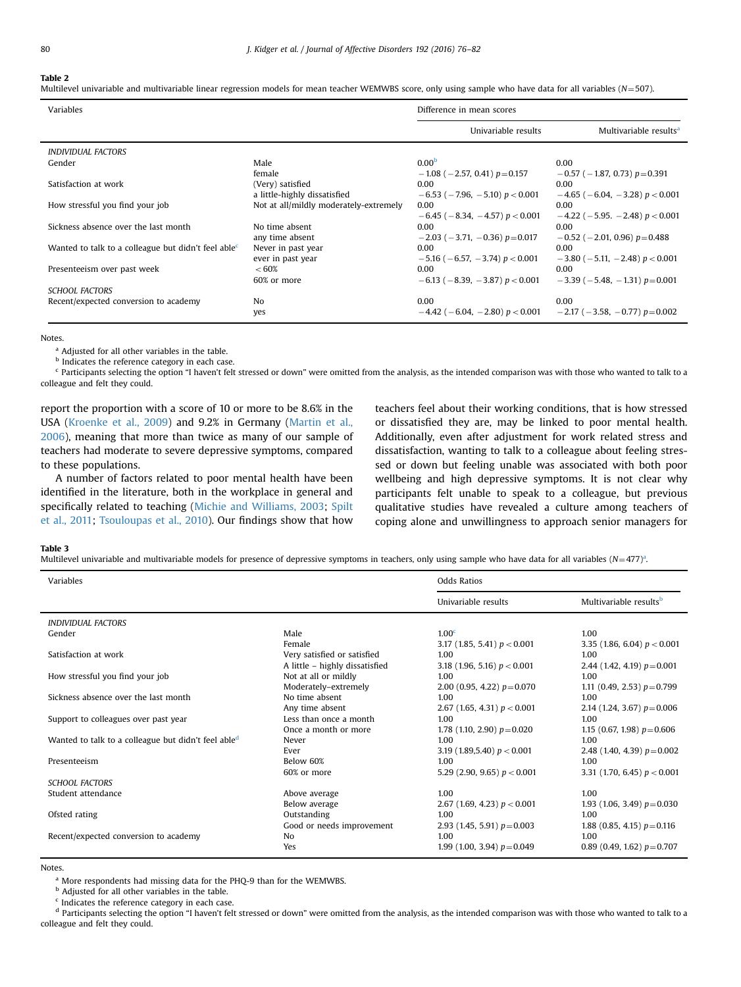#### <span id="page-4-0"></span>Table 2

Multilevel univariable and multivariable linear regression models for mean teacher WEMWBS score, only using sample who have data for all variables ( $N=507$ ).

| Variables                                                       |                                        | Difference in mean scores                         |                                                   |  |
|-----------------------------------------------------------------|----------------------------------------|---------------------------------------------------|---------------------------------------------------|--|
|                                                                 |                                        | Univariable results                               | Multivariable results <sup>a</sup>                |  |
| <i><b>INDIVIDUAL FACTORS</b></i>                                |                                        |                                                   |                                                   |  |
| Gender                                                          | Male                                   | 0.00 <sup>b</sup>                                 | 0.00                                              |  |
|                                                                 | female                                 | $-1.08$ ( $-2.57$ , 0.41) $p=0.157$               | $-0.57$ ( $-1.87$ , 0.73) $p=0.391$               |  |
| Satisfaction at work                                            | (Very) satisfied                       | 0.00                                              | 0.00                                              |  |
|                                                                 | a little-highly dissatisfied           | $-6.53$ ( $-7.96$ , $-5.10$ ) $p < 0.001$         | $-4.65$ ( $-6.04$ , $-3.28$ ) $p < 0.001$         |  |
| How stressful you find your job                                 | Not at all/mildly moderately-extremely | 0.00<br>$-6.45$ ( $-8.34$ , $-4.57$ ) $p < 0.001$ | 0.00<br>$-4.22$ ( $-5.95$ , $-2.48$ ) $p < 0.001$ |  |
| Sickness absence over the last month                            | No time absent                         | 0.00                                              | 0.00                                              |  |
|                                                                 | any time absent                        | $-2.03$ ( $-3.71$ , $-0.36$ ) $p=0.017$           | $-0.52$ ( $-2.01$ , 0.96) $p=0.488$               |  |
| Wanted to talk to a colleague but didn't feel able <sup>c</sup> | Never in past year                     | 0.00                                              | 0.00                                              |  |
|                                                                 | ever in past year                      | $-5.16$ ( $-6.57$ , $-3.74$ ) $p < 0.001$         | $-3.80$ ( $-5.11$ , $-2.48$ ) $p < 0.001$         |  |
| Presenteeism over past week                                     | < 60%                                  | 0.00                                              | 0.00                                              |  |
|                                                                 | 60% or more                            | $-6.13$ ( $-8.39$ , $-3.87$ ) $p < 0.001$         | $-3.39$ ( $-5.48$ , $-1.31$ ) $p=0.001$           |  |
| <b>SCHOOL FACTORS</b>                                           |                                        |                                                   |                                                   |  |
| Recent/expected conversion to academy                           | N <sub>o</sub>                         | 0.00                                              | 0.00                                              |  |
|                                                                 | yes                                    | $-4.42$ ( $-6.04$ , $-2.80$ ) $p < 0.001$         | $-2.17$ ( $-3.58$ , $-0.77$ ) $p=0.002$           |  |

Notes.

<sup>a</sup> Adjusted for all other variables in the table.

**b** Indicates the reference category in each case.

<sup>c</sup> Participants selecting the option "I haven't felt stressed or down" were omitted from the analysis, as the intended comparison was with those who wanted to talk to a colleague and felt they could.

report the proportion with a score of 10 or more to be 8.6% in the USA [\(Kroenke et al., 2009\)](#page-6-0) and 9.2% in Germany ([Martin et al.,](#page-6-0) [2006](#page-6-0)), meaning that more than twice as many of our sample of teachers had moderate to severe depressive symptoms, compared to these populations.

A number of factors related to poor mental health have been identified in the literature, both in the workplace in general and specifically related to teaching [\(Michie and Williams, 2003;](#page-6-0) [Spilt](#page-6-0) [et al., 2011](#page-6-0); [Tsouloupas et al., 2010](#page-6-0)). Our findings show that how

teachers feel about their working conditions, that is how stressed or dissatisfied they are, may be linked to poor mental health. Additionally, even after adjustment for work related stress and dissatisfaction, wanting to talk to a colleague about feeling stressed or down but feeling unable was associated with both poor wellbeing and high depressive symptoms. It is not clear why participants felt unable to speak to a colleague, but previous qualitative studies have revealed a culture among teachers of coping alone and unwillingness to approach senior managers for

Table 3

Multilevel univariable and multivariable models for presence of depressive symptoms in teachers, only using sample who have data for all variables  $(N=477)^3$ .

| Variables                                           |                                                               | <b>Odds Ratios</b>                                                   |                                                                      |
|-----------------------------------------------------|---------------------------------------------------------------|----------------------------------------------------------------------|----------------------------------------------------------------------|
|                                                     |                                                               | Univariable results                                                  | Multivariable results <sup>b</sup>                                   |
| <b>INDIVIDUAL FACTORS</b>                           |                                                               |                                                                      |                                                                      |
| Gender                                              | Male<br>Female                                                | 1.00 <sup>c</sup><br>3.17 (1.85, 5.41) $p < 0.001$                   | 1.00<br>3.35 (1.86, 6.04) $p < 0.001$                                |
| Satisfaction at work                                | Very satisfied or satisfied<br>A little - highly dissatisfied | 1.00<br>3.18 (1.96, 5.16) $p < 0.001$                                | 1.00<br>2.44 (1.42, 4.19) $p=0.001$                                  |
| How stressful you find your job                     | Not at all or mildly<br>Moderately-extremely                  | 1.00<br>2.00 (0.95, 4.22) $p=0.070$                                  | 1.00<br>1.11 (0.49, 2.53) $p=0.799$                                  |
| Sickness absence over the last month                | No time absent<br>Any time absent                             | 1.00                                                                 | 1.00                                                                 |
| Support to colleagues over past year                | Less than once a month                                        | 2.67 (1.65, 4.31) $p < 0.001$<br>1.00                                | 2.14 (1.24, 3.67) $p = 0.006$<br>1.00                                |
| Wanted to talk to a colleague but didn't feel abled | Once a month or more<br>Never                                 | 1.78 (1.10, 2.90) $p = 0.020$<br>1.00                                | 1.15 (0.67, 1.98) $p=0.606$<br>1.00                                  |
| Presenteeism                                        | Ever<br>Below 60%                                             | 3.19 (1.89,5.40) $p < 0.001$<br>1.00                                 | 2.48 (1.40, 4.39) $p=0.002$<br>1.00                                  |
| <b>SCHOOL FACTORS</b>                               | 60% or more                                                   | 5.29 (2.90, 9.65) $p < 0.001$                                        | 3.31 (1.70, 6.45) $p < 0.001$                                        |
| Student attendance                                  | Above average<br>Below average                                | 1.00                                                                 | 1.00                                                                 |
| Ofsted rating                                       | Outstanding<br>Good or needs improvement                      | 2.67 (1.69, 4.23) $p < 0.001$<br>1.00                                | 1.93 (1.06, 3.49) $p = 0.030$<br>1.00                                |
| Recent/expected conversion to academy               | No<br>Yes                                                     | 2.93 (1.45, 5.91) $p=0.003$<br>1.00<br>1.99 (1.00, 3.94) $p = 0.049$ | 1.88 (0.85, 4.15) $p = 0.116$<br>1.00<br>0.89 (0.49, 1.62) $p=0.707$ |

Notes.

<sup>a</sup> More respondents had missing data for the PHQ-9 than for the WEMWBS.

**b** Adjusted for all other variables in the table.

 $c$  Indicates the reference category in each case.

<sup>d</sup> Participants selecting the option "I haven't felt stressed or down" were omitted from the analysis, as the intended comparison was with those who wanted to talk to a colleague and felt they could.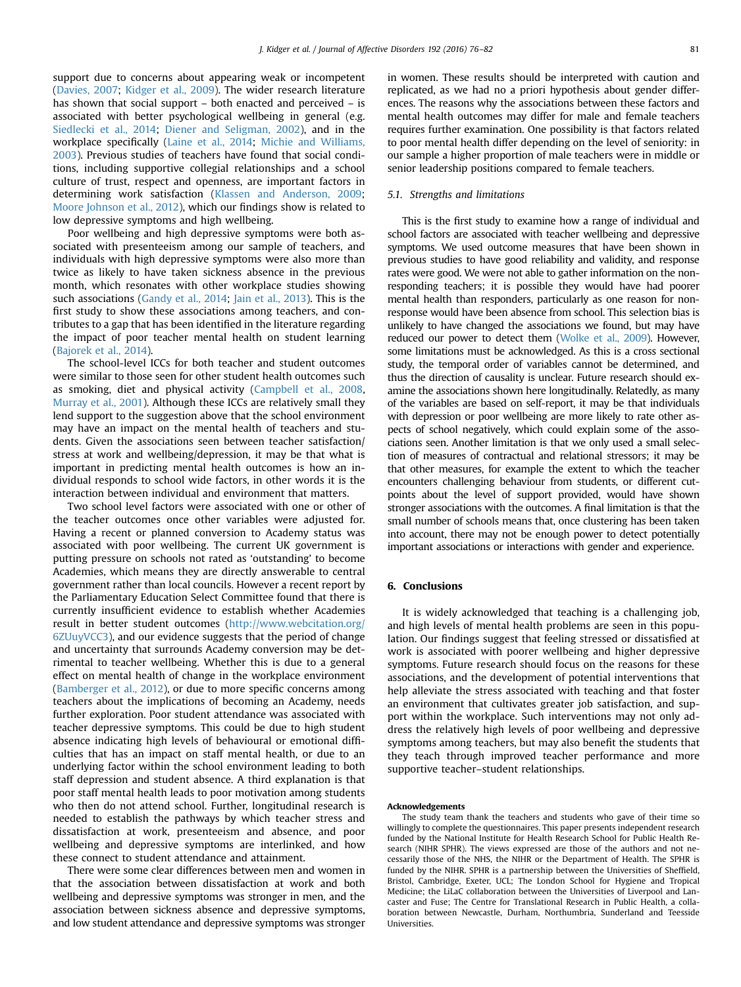support due to concerns about appearing weak or incompetent ([Davies, 2007;](#page-6-0) [Kidger et al., 2009](#page-6-0)). The wider research literature has shown that social support – both enacted and perceived – is associated with better psychological wellbeing in general (e.g. [Siedlecki et al., 2014](#page-6-0); [Diener and Seligman, 2002](#page-6-0)), and in the workplace specifically ([Laine et al., 2014;](#page-6-0) [Michie and Williams,](#page-6-0) [2003\)](#page-6-0). Previous studies of teachers have found that social conditions, including supportive collegial relationships and a school culture of trust, respect and openness, are important factors in determining work satisfaction ([Klassen and Anderson, 2009;](#page-6-0) [Moore Johnson et al., 2012\)](#page-6-0), which our findings show is related to low depressive symptoms and high wellbeing.

Poor wellbeing and high depressive symptoms were both associated with presenteeism among our sample of teachers, and individuals with high depressive symptoms were also more than twice as likely to have taken sickness absence in the previous month, which resonates with other workplace studies showing such associations ([Gandy et al., 2014](#page-6-0); [Jain et al., 2013](#page-6-0)). This is the first study to show these associations among teachers, and contributes to a gap that has been identified in the literature regarding the impact of poor teacher mental health on student learning ([Bajorek et al., 2014](#page-6-0)).

The school-level ICCs for both teacher and student outcomes were similar to those seen for other student health outcomes such as smoking, diet and physical activity [\(Campbell et al., 2008,](#page-6-0) [Murray et al., 2001\)](#page-6-0). Although these ICCs are relatively small they lend support to the suggestion above that the school environment may have an impact on the mental health of teachers and students. Given the associations seen between teacher satisfaction/ stress at work and wellbeing/depression, it may be that what is important in predicting mental health outcomes is how an individual responds to school wide factors, in other words it is the interaction between individual and environment that matters.

Two school level factors were associated with one or other of the teacher outcomes once other variables were adjusted for. Having a recent or planned conversion to Academy status was associated with poor wellbeing. The current UK government is putting pressure on schools not rated as 'outstanding' to become Academies, which means they are directly answerable to central government rather than local councils. However a recent report by the Parliamentary Education Select Committee found that there is currently insufficient evidence to establish whether Academies result in better student outcomes [\(http://www.webcitation.org/](http://www.webcitation.org/6ZUuyVCC3) [6ZUuyVCC3](http://www.webcitation.org/6ZUuyVCC3)), and our evidence suggests that the period of change and uncertainty that surrounds Academy conversion may be detrimental to teacher wellbeing. Whether this is due to a general effect on mental health of change in the workplace environment ([Bamberger et al., 2012](#page-6-0)), or due to more specific concerns among teachers about the implications of becoming an Academy, needs further exploration. Poor student attendance was associated with teacher depressive symptoms. This could be due to high student absence indicating high levels of behavioural or emotional difficulties that has an impact on staff mental health, or due to an underlying factor within the school environment leading to both staff depression and student absence. A third explanation is that poor staff mental health leads to poor motivation among students who then do not attend school. Further, longitudinal research is needed to establish the pathways by which teacher stress and dissatisfaction at work, presenteeism and absence, and poor wellbeing and depressive symptoms are interlinked, and how these connect to student attendance and attainment.

There were some clear differences between men and women in that the association between dissatisfaction at work and both wellbeing and depressive symptoms was stronger in men, and the association between sickness absence and depressive symptoms, and low student attendance and depressive symptoms was stronger in women. These results should be interpreted with caution and replicated, as we had no a priori hypothesis about gender differences. The reasons why the associations between these factors and mental health outcomes may differ for male and female teachers requires further examination. One possibility is that factors related to poor mental health differ depending on the level of seniority: in our sample a higher proportion of male teachers were in middle or senior leadership positions compared to female teachers.

## 5.1. Strengths and limitations

This is the first study to examine how a range of individual and school factors are associated with teacher wellbeing and depressive symptoms. We used outcome measures that have been shown in previous studies to have good reliability and validity, and response rates were good. We were not able to gather information on the nonresponding teachers; it is possible they would have had poorer mental health than responders, particularly as one reason for nonresponse would have been absence from school. This selection bias is unlikely to have changed the associations we found, but may have reduced our power to detect them [\(Wolke et al., 2009\)](#page-6-0). However, some limitations must be acknowledged. As this is a cross sectional study, the temporal order of variables cannot be determined, and thus the direction of causality is unclear. Future research should examine the associations shown here longitudinally. Relatedly, as many of the variables are based on self-report, it may be that individuals with depression or poor wellbeing are more likely to rate other aspects of school negatively, which could explain some of the associations seen. Another limitation is that we only used a small selection of measures of contractual and relational stressors; it may be that other measures, for example the extent to which the teacher encounters challenging behaviour from students, or different cutpoints about the level of support provided, would have shown stronger associations with the outcomes. A final limitation is that the small number of schools means that, once clustering has been taken into account, there may not be enough power to detect potentially important associations or interactions with gender and experience.

# 6. Conclusions

It is widely acknowledged that teaching is a challenging job, and high levels of mental health problems are seen in this population. Our findings suggest that feeling stressed or dissatisfied at work is associated with poorer wellbeing and higher depressive symptoms. Future research should focus on the reasons for these associations, and the development of potential interventions that help alleviate the stress associated with teaching and that foster an environment that cultivates greater job satisfaction, and support within the workplace. Such interventions may not only address the relatively high levels of poor wellbeing and depressive symptoms among teachers, but may also benefit the students that they teach through improved teacher performance and more supportive teacher–student relationships.

#### Acknowledgements

The study team thank the teachers and students who gave of their time so willingly to complete the questionnaires. This paper presents independent research funded by the National Institute for Health Research School for Public Health Research (NIHR SPHR). The views expressed are those of the authors and not necessarily those of the NHS, the NIHR or the Department of Health. The SPHR is funded by the NIHR. SPHR is a partnership between the Universities of Sheffield, Bristol, Cambridge, Exeter, UCL; The London School for Hygiene and Tropical Medicine; the LiLaC collaboration between the Universities of Liverpool and Lancaster and Fuse; The Centre for Translational Research in Public Health, a collaboration between Newcastle, Durham, Northumbria, Sunderland and Teesside Universities.